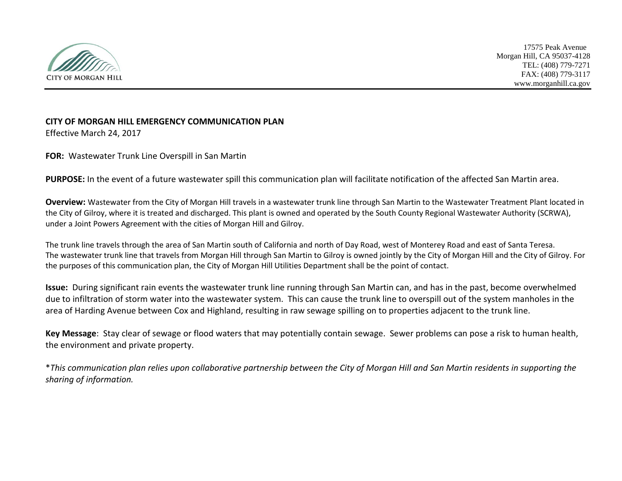

## **CITY OF MORGAN HILL EMERGENCY COMMUNICATION PLAN** Effective March 24, 2017

**FOR:** Wastewater Trunk Line Overspill in San Martin

**PURPOSE:** In the event of a future wastewater spill this communication plan will facilitate notification of the affected San Martin area.

**Overview:** Wastewater from the City of Morgan Hill travels in a wastewater trunk line through San Martin to the Wastewater Treatment Plant located in the City of Gilroy, where it is treated and discharged. This plant is owned and operated by the [South County Regional Wastewater Authority \(](http://www.cityofgilroy.org/322/SCRWA)SCRWA), under a Joint Powers Agreement with the cities of Morgan Hill and Gilroy.

The trunk line travels through the area of San Martin south of California and north of Day Road, west of Monterey Road and east of Santa Teresa. The wastewater trunk line that travels from Morgan Hill through San Martin to Gilroy is owned jointly by the City of Morgan Hill and the City of Gilroy. For the purposes of this communication plan, the City of Morgan Hill Utilities Department shall be the point of contact.

**Issue:** During significant rain events the wastewater trunk line running through San Martin can, and has in the past, become overwhelmed due to infiltration of storm water into the wastewater system. This can cause the trunk line to overspill out of the system manholes in the area of Harding Avenue between Cox and Highland, resulting in raw sewage spilling on to properties adjacent to the trunk line.

**Key Message**: Stay clear of sewage or flood waters that may potentially contain sewage. Sewer problems can pose a risk to human health, the environment and private property.

\**This communication plan relies upon collaborative partnership between the City of Morgan Hill and San Martin residents in supporting the sharing of information.*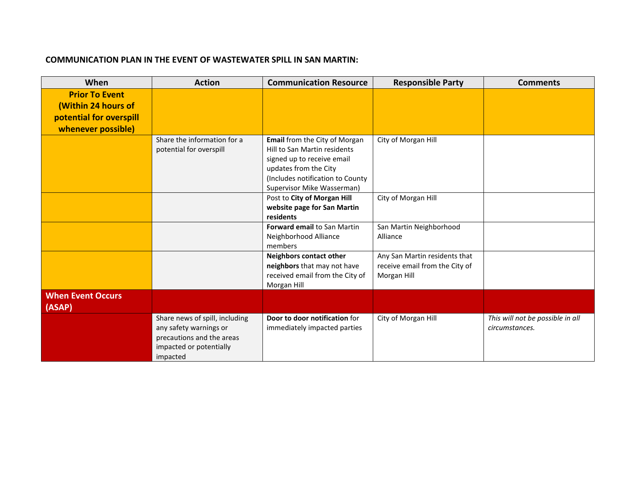## **COMMUNICATION PLAN IN THE EVENT OF WASTEWATER SPILL IN SAN MARTIN:**

| When                                                                                          | <b>Action</b>                                                                                                                | <b>Communication Resource</b>                                                                                                                                                          | <b>Responsible Party</b>                                                       | <b>Comments</b>                                    |
|-----------------------------------------------------------------------------------------------|------------------------------------------------------------------------------------------------------------------------------|----------------------------------------------------------------------------------------------------------------------------------------------------------------------------------------|--------------------------------------------------------------------------------|----------------------------------------------------|
| <b>Prior To Event</b><br>(Within 24 hours of<br>potential for overspill<br>whenever possible) |                                                                                                                              |                                                                                                                                                                                        |                                                                                |                                                    |
|                                                                                               | Share the information for a<br>potential for overspill                                                                       | Email from the City of Morgan<br>Hill to San Martin residents<br>signed up to receive email<br>updates from the City<br>(Includes notification to County<br>Supervisor Mike Wasserman) | City of Morgan Hill                                                            |                                                    |
|                                                                                               |                                                                                                                              | Post to City of Morgan Hill<br>website page for San Martin<br>residents                                                                                                                | City of Morgan Hill                                                            |                                                    |
|                                                                                               |                                                                                                                              | <b>Forward email to San Martin</b><br>Neighborhood Alliance<br>members                                                                                                                 | San Martin Neighborhood<br>Alliance                                            |                                                    |
|                                                                                               |                                                                                                                              | <b>Neighbors contact other</b><br>neighbors that may not have<br>received email from the City of<br>Morgan Hill                                                                        | Any San Martin residents that<br>receive email from the City of<br>Morgan Hill |                                                    |
| <b>When Event Occurs</b><br>(ASAP)                                                            |                                                                                                                              |                                                                                                                                                                                        |                                                                                |                                                    |
|                                                                                               | Share news of spill, including<br>any safety warnings or<br>precautions and the areas<br>impacted or potentially<br>impacted | Door to door notification for<br>immediately impacted parties                                                                                                                          | City of Morgan Hill                                                            | This will not be possible in all<br>circumstances. |